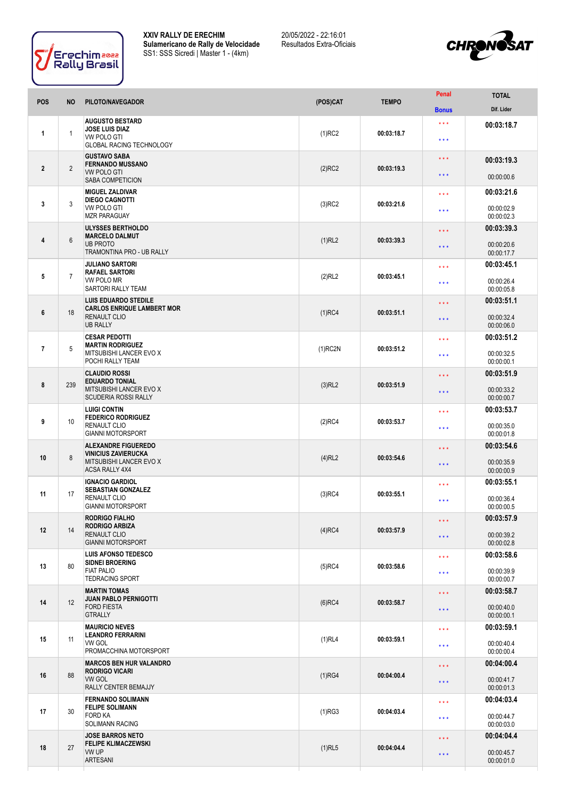

**XXIV RALLY DE ERECHIM Sulamericano de Rally de Velocidade** SS1: SSS Sicredi | Master 1 - (4km)

20/05/2022 - 22:16:01 Resultados Extra-Oficiais



| <b>POS</b>     | <b>NO</b>      | PILOTO/NAVEGADOR                                                                                               | (POS)CAT   | <b>TEMPO</b> | Penal                   | <b>TOTAL</b>             |
|----------------|----------------|----------------------------------------------------------------------------------------------------------------|------------|--------------|-------------------------|--------------------------|
|                |                |                                                                                                                |            |              | <b>Bonus</b>            | Dif. Lider               |
| 1              |                | <b>AUGUSTO BESTARD</b><br>JOSE LUIS DIAZ                                                                       |            |              | $\star\star\star$       | 00:03:18.7               |
|                | 1              | VW POLO GTI                                                                                                    | $(1)$ RC2  | 00:03:18.7   | $***$                   |                          |
| $\mathbf{2}$   | $\overline{2}$ | <b>GLOBAL RACING TECHNOLOGY</b><br><b>GUSTAVO SABA</b>                                                         |            | 00:03:19.3   | $\star \star \star$     |                          |
|                |                | <b>FERNANDO MUSSANO</b><br><b>VW POLO GTI</b>                                                                  | $(2)$ RC2  |              |                         | 00:03:19.3               |
|                |                | SABA COMPETICION                                                                                               |            |              | * * *                   | 00:00:00.6               |
|                | 3              | <b>MIGUEL ZALDIVAR</b><br><b>DIEGO CAGNOTTI</b><br><b>VW POLO GTI</b>                                          | $(3)$ RC2  | 00:03:21.6   | $* * *$                 | 00:03:21.6               |
| 3              |                |                                                                                                                |            |              | * * *                   | 00:00:02.9               |
|                |                | <b>MZR PARAGUAY</b><br>ULYSSES BERTHOLDO                                                                       |            |              |                         | 00:00:02.3<br>00:03:39.3 |
| 4              | $6\phantom{1}$ | <b>MARCELO DALMUT</b><br><b>UB PROTO</b><br>TRAMONTINA PRO - UB RALLY                                          | (1)RL2     | 00:03:39.3   | $***$                   |                          |
|                |                |                                                                                                                |            |              | $***$                   | 00:00:20.6<br>00:00:17.7 |
|                |                | <b>JULIANO SARTORI</b><br><b>RAFAEL SARTORI</b><br>VW POLO MR                                                  |            | 00:03:45.1   | $***$                   | 00:03:45.1               |
| 5              | $\overline{7}$ |                                                                                                                | (2)RL2     |              | $***$                   | 00:00:26.4               |
|                |                | SARTORI RALLY TEAM<br><b>LUIS EDUARDO STEDILE</b>                                                              |            |              |                         | 00:00:05.8<br>00:03:51.1 |
| 6              | 18             | <b>CARLOS ENRIQUE LAMBERT MOR</b>                                                                              | $(1)$ RC4  | 00:03:51.1   | $\star \star \star$     |                          |
|                |                | <b>RENAULT CLIO</b><br><b>UB RALLY</b>                                                                         |            |              | $***$                   | 00:00:32.4<br>00:00:06.0 |
|                |                | <b>CESAR PEDOTTI</b><br><b>MARTIN RODRIGUEZ</b><br>MITSUBISHI LANCER EVO X<br>POCHI RALLY TEAM                 |            |              | $***$                   | 00:03:51.2               |
| $\overline{7}$ | 5              |                                                                                                                | $(1)$ RC2N | 00:03:51.2   | $***$                   | 00:00:32.5               |
|                |                |                                                                                                                |            |              |                         | 00:00:00.1               |
| 8              | 239            | <b>CLAUDIO ROSSI</b><br><b>EDUARDO TONIAL</b><br><b>MITSUBISHI LANCER EVO X</b><br><b>SCUDERIA ROSSI RALLY</b> | (3)RL2     | 00:03:51.9   | $\star \star \star$     | 00:03:51.9               |
|                |                |                                                                                                                |            |              | $***$                   | 00:00:33.2<br>00:00:00.7 |
|                |                | <b>LUIGI CONTIN</b><br><b>FEDERICO RODRIGUEZ</b><br><b>RENAULT CLIO</b><br><b>GIANNI MOTORSPORT</b>            | $(2)$ RC4  | 00:03:53.7   | * * *                   | 00:03:53.7               |
| 9              | 10             |                                                                                                                |            |              | $***$                   | 00:00:35.0               |
|                |                |                                                                                                                |            |              |                         | 00:00:01.8               |
| 10             | 8              | <b>ALEXANDRE FIGUEREDO</b><br><b>VINICIUS ZAVIERUCKA</b><br>MITSUBISHI LANCER EVO X<br><b>ACSA RALLY 4X4</b>   | $(4)$ RL2  | 00:03:54.6   | $\star \star \star$     | 00:03:54.6               |
|                |                |                                                                                                                |            |              | $***$                   | 00:00:35.9<br>00:00:00.9 |
|                |                | <b>IGNACIO GARDIOL</b>                                                                                         |            |              | * * *                   | 00:03:55.1               |
| 11             | 17             | <b>SEBASTIAN GONZALEZ</b><br>RENAULT CLIO                                                                      | $(3)$ RC4  | 00:03:55.1   | $\star\star\star$       | 00:00:36.4               |
|                |                | <b>GIANNI MOTORSPORT</b>                                                                                       |            |              |                         | 00:00:00.5               |
|                | 14             | <b>RODRIGO FIALHO</b><br><b>RODRIGO ARBIZA</b><br><b>RENAULT CLIO</b><br><b>GIANNI MOTORSPORT</b>              | $(4)$ RC4  | 00:03:57.9   | $\star \star \star$     | 00:03:57.9               |
| 12             |                |                                                                                                                |            |              | * * *                   | 00:00:39.2<br>00:00:02.8 |
|                |                | <b>LUIS AFONSO TEDESCO</b>                                                                                     |            |              | $***$                   | 00:03:58.6               |
| 13             | 80             | <b>SIDNEI BROERING</b><br><b>FIAT PALIO</b><br><b>TEDRACING SPORT</b>                                          | $(5)$ RC4  | 00:03:58.6   |                         | 00:00:39.9               |
|                |                |                                                                                                                |            |              | $\star$ $\star$ $\star$ | 00:00:00.7               |
|                | 12             | <b>MARTIN TOMAS</b><br><b>JUAN PABLO PERNIGOTTI</b><br><b>FORD FIESTA</b><br><b>GTRALLY</b>                    | $(6)$ RC4  |              | $\star \star \star$     | 00:03:58.7               |
| 14             |                |                                                                                                                |            | 00:03:58.7   | $***$                   | 00:00:40.0<br>00:00:00.1 |
|                |                | <b>MAURICIO NEVES</b>                                                                                          |            |              | $\star\star\star$       | 00:03:59.1               |
| 15             | 11             | <b>LEANDRO FERRARINI</b><br>VW GOL                                                                             | $(1)$ RL4  | 00:03:59.1   |                         | 00:00:40.4               |
|                |                | PROMACCHINA MOTORSPORT                                                                                         |            |              | $\star\star\star$       | 00:00:00.4               |
|                | 88             | <b>MARCOS BEN HUR VALANDRO</b><br>RODRIGO VICARI<br><b>VW GOL</b><br>RALLY CENTER BEMAJJY                      | (1)RG4     | 00:04:00.4   | $\star \star \star$     | 00:04:00.4               |
| 16             |                |                                                                                                                |            |              | $\star\star\star$       | 00:00:41.7               |
|                |                | <b>FERNANDO SOLIMANN</b>                                                                                       |            |              | * * *                   | 00:00:01.3<br>00:04:03.4 |
| 17             | 30             | <b>FELIPE SOLIMANN</b><br><b>FORD KA</b><br><b>SOLIMANN RACING</b>                                             | $(1)$ RG3  | 00:04:03.4   |                         |                          |
|                |                |                                                                                                                |            |              | $\star$ $\star$ $\star$ | 00:00:44.7<br>00:00:03.0 |
|                | 27             | <b>JOSE BARROS NETO</b><br><b>FELIPE KLIMACZEWSKI</b><br>VW UP                                                 | $(1)$ RL5  | 00:04:04.4   | $***$                   | 00:04:04.4               |
| 18             |                |                                                                                                                |            |              | * * *                   | 00:00:45.7               |
|                |                | <b>ARTESANI</b>                                                                                                |            |              |                         | 00:00:01.0               |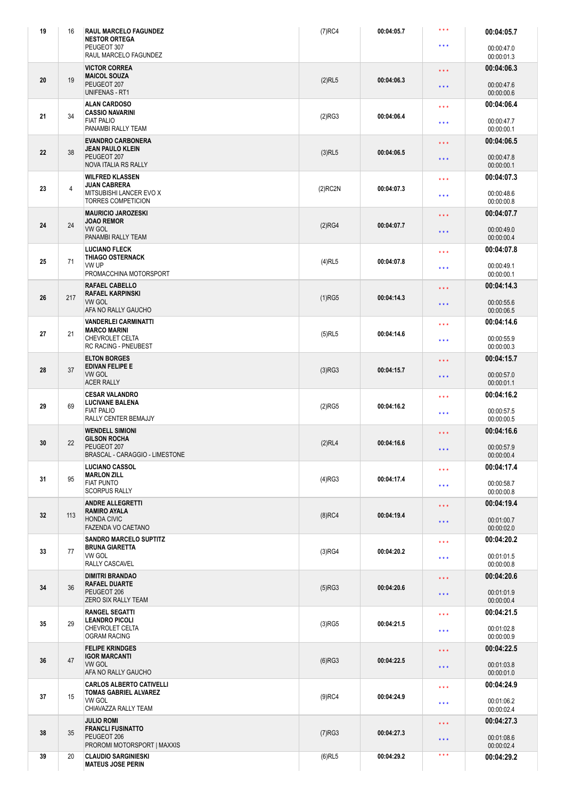| 19 | 16  | <b>RAUL MARCELO FAGUNDEZ</b><br><b>NESTOR ORTEGA</b>                                                     | $(7)$ RC4                          | 00:04:05.7 | $***$                                        | 00:04:05.7               |
|----|-----|----------------------------------------------------------------------------------------------------------|------------------------------------|------------|----------------------------------------------|--------------------------|
|    |     | PEUGEOT 307<br>RAUL MARCELO FAGUNDEZ                                                                     |                                    |            | $\star\star\star$                            | 00:00:47.0<br>00:00:01.3 |
|    |     | <b>VICTOR CORREA</b><br><b>MAICOL SOUZA</b>                                                              |                                    |            | $\star$ $\star$ $\star$                      | 00:04:06.3               |
| 20 | 19  | PEUGEOT 207<br><b>UNIFENAS - RT1</b>                                                                     | $(2)$ RL5                          | 00:04:06.3 | $\star\star\star$                            | 00:00:47.6<br>00:00:00.6 |
|    |     | <b>ALAN CARDOSO</b>                                                                                      |                                    |            | $\star\star\star$                            | 00:04:06.4               |
| 21 | 34  | <b>CASSIO NAVARINI</b><br><b>FIAT PALIO</b><br>PANAMBI RALLY TEAM                                        | (2)RG3                             | 00:04:06.4 | $\star\star\star$                            | 00:00:47.7<br>00:00:00.1 |
|    |     | <b>EVANDRO CARBONERA</b>                                                                                 |                                    |            | $\star\star\star$                            | 00:04:06.5               |
| 22 | 38  | <b>JEAN PAULO KLEIN</b><br>PEUGEOT 207<br><b>NOVA ITALIA RS RALLY</b>                                    | $(3)$ RL5                          | 00:04:06.5 | $\star\star\star$                            | 00:00:47.8<br>00:00:00.1 |
|    |     | <b>WILFRED KLASSEN</b>                                                                                   |                                    |            | $\star\star\star$                            | 00:04:07.3               |
| 23 | 4   | <b>JUAN CABRERA</b><br>MITSUBISHI LANCER EVO X<br><b>TORRES COMPETICION</b>                              | $(2)$ RC2N                         | 00:04:07.3 | $\star\star\star$                            | 00:00:48.6<br>00:00:00.8 |
|    |     | <b>MAURICIO JAROZESKI</b>                                                                                |                                    |            |                                              | 00:04:07.7               |
| 24 | 24  | <b>JOAO REMOR</b><br><b>VW GOL</b>                                                                       | (2)RG4                             | 00:04:07.7 | $\star\star\star$<br>$\star\star\star$       | 00:00:49.0<br>00:00:00.4 |
|    |     | PANAMBI RALLY TEAM<br><b>LUCIANO FLECK</b>                                                               |                                    | 00:04:07.8 |                                              | 00:04:07.8               |
| 25 | 71  | <b>THIAGO OSTERNACK</b><br>VW UP                                                                         | $(4)$ RL5                          |            | $\star\star\star$<br>$\star\star\star$       | 00:00:49.1               |
|    |     | PROMACCHINA MOTORSPORT                                                                                   |                                    |            |                                              | 00:00:00.1               |
| 26 | 217 | <b>RAFAEL KARPINSKI</b><br><b>VW GOL</b>                                                                 | <b>RAFAEL CABELLO</b><br>$(1)$ RG5 | 00:04:14.3 | $\star\star\star$                            | 00:04:14.3               |
|    |     | AFA NO RALLY GAUCHO                                                                                      |                                    |            | $\star\star\star$                            | 00:00:55.6<br>00:00:06.5 |
|    |     | <b>VANDERLEI CARMINATTI</b>                                                                              |                                    |            | $\star\star\star$                            | 00:04:14.6               |
| 27 | 21  | <b>MARCO MARINI</b><br>CHEVROLET CELTA<br><b>RC RACING - PNEUBEST</b>                                    | $(5)$ RL5                          | 00:04:14.6 | $* * *$                                      | 00:00:55.9<br>00:00:00.3 |
|    |     | <b>ELTON BORGES</b>                                                                                      |                                    |            | $\star$ $\star$ $\star$                      | 00:04:15.7               |
| 28 | 37  | <b>EDIVAN FELIPE E</b><br><b>VW GOL</b><br><b>ACER RALLY</b>                                             | (3)RG3                             | 00:04:15.7 | $\star\star\star$                            | 00:00:57.0<br>00:00:01.1 |
|    |     | <b>CESAR VALANDRO</b>                                                                                    |                                    |            | $\star\star\star$                            | 00:04:16.2               |
| 29 | 69  | <b>LUCIVANE BALENA</b><br><b>FIAT PALIO</b><br>RALLY CENTER BEMAJJY                                      | $(2)$ RG5                          | 00:04:16.2 | $\star\star\star$                            | 00:00:57.5<br>00:00:00.5 |
|    |     | <b>WENDELL SIMIONI</b>                                                                                   |                                    |            |                                              | 00:04:16.6               |
| 30 | 22  | <b>GILSON ROCHA</b><br>PEUGEOT 207<br>BRASCAL - CARAGGIO - LIMESTONE                                     | (2)RL4                             | 00:04:16.6 | $\star$ $\star$ $\star$<br>$* * *$           | 00:00:57.9               |
|    |     | <b>LUCIANO CASSOL</b>                                                                                    |                                    |            |                                              | 00:00:00.4<br>00:04:17.4 |
| 31 | 95  | <b>MARLON ZILL</b><br><b>FIAT PUNTO</b>                                                                  | (4)RG3                             | 00:04:17.4 | $\star\star\star$<br>$* * *$                 | 00:00:58.7               |
|    |     | <b>SCORPUS RALLY</b>                                                                                     |                                    |            |                                              | 00:00:00.8               |
| 32 | 113 | <b>ANDRE ALLEGRETTI</b><br><b>RAMIRO AYALA</b><br><b>HONDA CIVIC</b>                                     | $(8)$ RC4                          | 00:04:19.4 | $\star$ $\star$ $\star$<br>$\star\star\star$ | 00:04:19.4<br>00:01:00.7 |
|    |     | <b>FAZENDA VO CAETANO</b>                                                                                |                                    |            |                                              | 00:00:02.0               |
| 33 | 77  | <b>SANDRO MARCELO SUPTITZ</b><br><b>BRUNA GIARETTA</b><br>VW GOL<br>RALLY CASCAVEL                       | (3)RG4                             | 00:04:20.2 | $\star\star\star$                            | 00:04:20.2<br>00:01:01.5 |
|    |     |                                                                                                          |                                    |            | $\star\star\star$                            | 00:00:00.8               |
|    | 36  | <b>DIMITRI BRANDAO</b><br><b>RAFAEL DUARTE</b><br>PEUGEOT 206<br>ZERO SIX RALLY TEAM                     |                                    | 00:04:20.6 | $\star$ $\star$ $\star$                      | 00:04:20.6               |
| 34 |     |                                                                                                          | $(5)$ RG3                          |            | $\star$ $\star$ $\star$                      | 00:01:01.9<br>00:00:00.4 |
|    |     | <b>RANGEL SEGATTI</b>                                                                                    |                                    |            | $\star\star\star$                            | 00:04:21.5               |
| 35 | 29  | <b>LEANDRO PICOLI</b><br>CHEVROLET CELTA<br><b>OGRAM RACING</b>                                          | $(3)$ RG5                          | 00:04:21.5 | $***$                                        | 00:01:02.8<br>00:00:00.9 |
|    |     | <b>FELIPE KRINDGES</b><br><b>IGOR MARCANTI</b><br>VW GOL<br>AFA NO RALLY GAUCHO                          |                                    | 00:04:22.5 | $\star\star\star$                            | 00:04:22.5               |
| 36 | 47  |                                                                                                          | $(6)$ RG3                          |            | $\star\star\star$                            | 00:01:03.8<br>00:00:01.0 |
|    | 15  | <b>CARLOS ALBERTO CATIVELLI</b><br><b>TOMAS GABRIEL ALVAREZ</b><br><b>VW GOL</b><br>CHIAVAZZA RALLY TEAM |                                    | 00:04:24.9 | $\star\star\star$                            | 00:04:24.9               |
| 37 |     |                                                                                                          | $(9)$ RC4                          |            | $\star\star\star$                            | 00:01:06.2<br>00:00:02.4 |
|    |     | <b>JULIO ROMI</b>                                                                                        |                                    |            |                                              | 00:04:27.3               |
| 38 | 35  | <b>FRANCLI FUSINATTO</b><br>PEUGEOT 206<br>PROROMI MOTORSPORT   MAXXIS                                   | $(7)$ RG3                          | 00:04:27.3 | $\star\star\star$<br>$***$                   | 00:01:08.6<br>00:00:02.4 |
| 39 | 20  | <b>CLAUDIO SARGINIESKI</b>                                                                               | $(6)$ RL5                          | 00:04:29.2 | $***$                                        | 00:04:29.2               |
|    |     | <b>MATEUS JOSE PERIN</b>                                                                                 |                                    |            |                                              |                          |